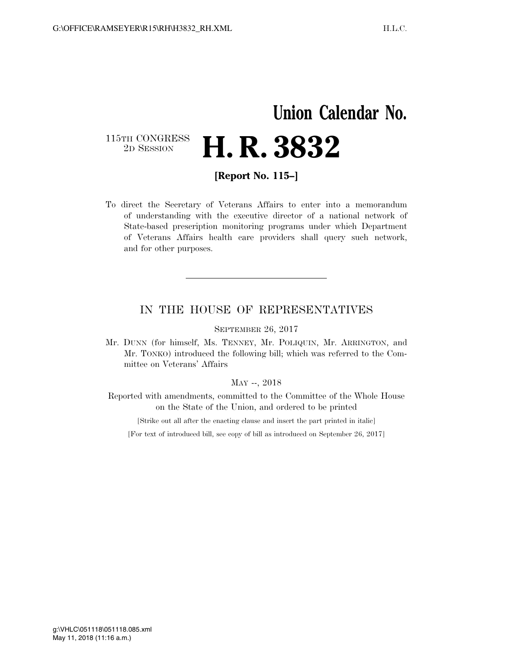# **Union Calendar No.**

### 115TH CONGRESS<br>2D SESSION 2D SESSION **H. R. 3832**

**[Report No. 115–]** 

To direct the Secretary of Veterans Affairs to enter into a memorandum of understanding with the executive director of a national network of State-based prescription monitoring programs under which Department of Veterans Affairs health care providers shall query such network, and for other purposes.

#### IN THE HOUSE OF REPRESENTATIVES

SEPTEMBER 26, 2017

Mr. DUNN (for himself, Ms. TENNEY, Mr. POLIQUIN, Mr. ARRINGTON, and Mr. TONKO) introduced the following bill; which was referred to the Committee on Veterans' Affairs

#### MAY --, 2018

Reported with amendments, committed to the Committee of the Whole House on the State of the Union, and ordered to be printed

[Strike out all after the enacting clause and insert the part printed in italic]

[For text of introduced bill, see copy of bill as introduced on September 26, 2017]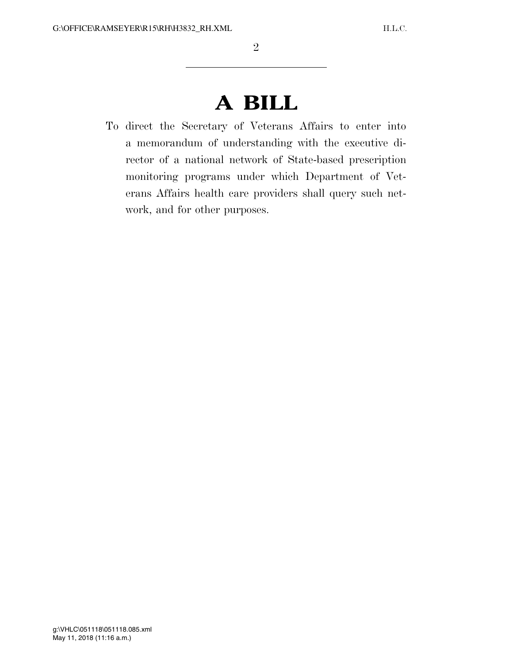# **A BILL**

To direct the Secretary of Veterans Affairs to enter into a memorandum of understanding with the executive director of a national network of State-based prescription monitoring programs under which Department of Veterans Affairs health care providers shall query such network, and for other purposes.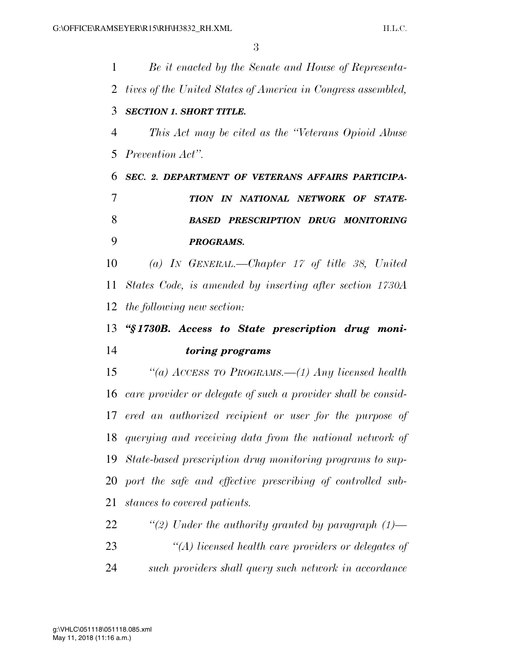| 1  | Be it enacted by the Senate and House of Representa-          |
|----|---------------------------------------------------------------|
| 2  | tives of the United States of America in Congress assembled,  |
| 3  | <b>SECTION 1. SHORT TITLE.</b>                                |
| 4  | This Act may be cited as the "Veterans Opioid Abuse"          |
| 5  | Prevention Act".                                              |
| 6  | SEC. 2. DEPARTMENT OF VETERANS AFFAIRS PARTICIPA-             |
| 7  | TION IN NATIONAL NETWORK OF STATE-                            |
| 8  | <b>BASED PRESCRIPTION DRUG MONITORING</b>                     |
| 9  | <b>PROGRAMS.</b>                                              |
| 10 | (a) IN GENERAL.—Chapter $17$ of title 38, United              |
| 11 | States Code, is amended by inserting after section 1730A      |
| 12 | the following new section:                                    |
| 13 | "§1730B. Access to State prescription drug moni-              |
| 14 | <i>toring programs</i>                                        |
| 15 | "(a) ACCESS TO PROGRAMS.—(1) Any licensed health              |
| 16 | care provider or delegate of such a provider shall be consid- |
|    | 17 ered an authorized recipient or user for the purpose of    |
|    | 18 querying and receiving data from the national network of   |
| 19 | State-based prescription drug monitoring programs to sup-     |
| 20 | port the safe and effective prescribing of controlled sub-    |
| 21 | stances to covered patients.                                  |
| 22 | "(2) Under the authority granted by paragraph $(1)$ —         |
| 23 | $\lq (A)$ licensed health care providers or delegates of      |
|    |                                                               |

*such providers shall query such network in accordance*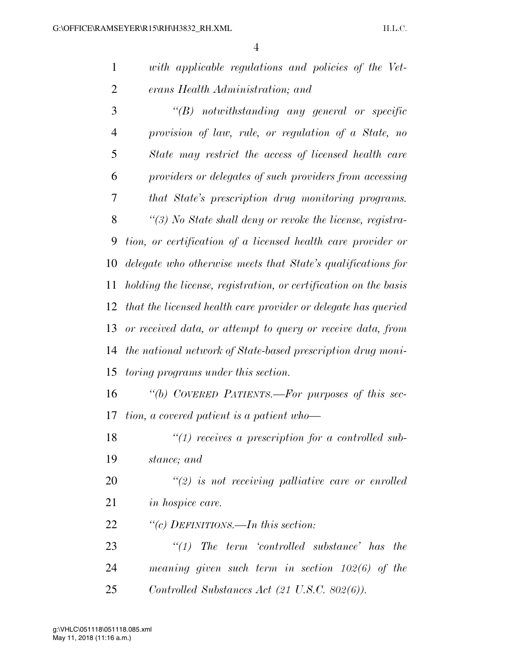| $\mathbf{1}$   | with applicable regulations and policies of the Vet-             |
|----------------|------------------------------------------------------------------|
| 2              | erans Health Administration; and                                 |
| 3              | $\lq\lq B$ notwithstanding any general or specific               |
| $\overline{4}$ | provision of law, rule, or regulation of a State, no             |
| 5              | State may restrict the access of licensed health care            |
| 6              | providers or delegates of such providers from accessing          |
| 7              | that State's prescription drug monitoring programs.              |
| 8              | "(3) No State shall deny or revoke the license, registra-        |
| 9              | tion, or certification of a licensed health care provider or     |
| 10             | delegate who otherwise meets that State's qualifications for     |
| 11             | holding the license, registration, or certification on the basis |
| 12             | that the licensed health care provider or delegate has queried   |
| 13             | or received data, or attempt to query or receive data, from      |
| 14             | the national network of State-based prescription drug moni-      |
| 15             | <i>toring programs under this section.</i>                       |
| 16             | "(b) COVERED PATIENTS.—For purposes of this sec-                 |
| 17             | tion, a covered patient is a patient who-                        |
| 18             | $"(1)$ receives a prescription for a controlled sub-             |
| 19             | stance; and                                                      |
| <b>20</b>      | $\lq(2)$ is not receiving palliative care or enrolled            |
| 21             | <i>in hospice care.</i>                                          |
| 22             | "(c) DEFINITIONS.—In this section:                               |

 *''(1) The term 'controlled substance' has the meaning given such term in section 102(6) of the Controlled Substances Act (21 U.S.C. 802(6)).*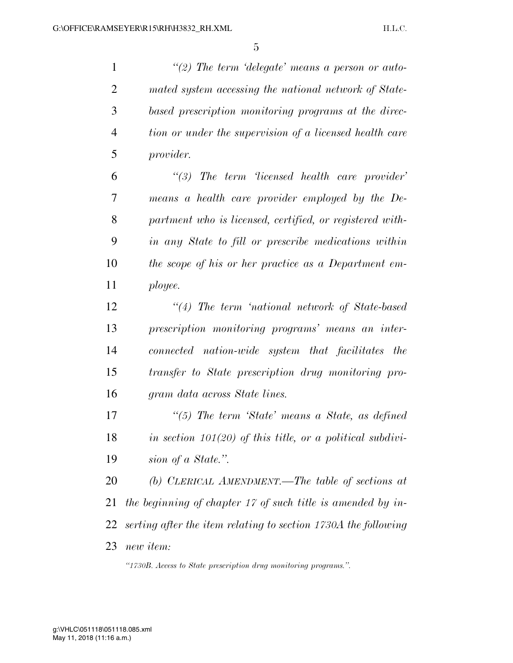*''(2) The term 'delegate' means a person or auto- mated system accessing the national network of State- based prescription monitoring programs at the direc- tion or under the supervision of a licensed health care provider.* 

 *''(3) The term 'licensed health care provider' means a health care provider employed by the De- partment who is licensed, certified, or registered with- in any State to fill or prescribe medications within the scope of his or her practice as a Department em-ployee.* 

 *''(4) The term 'national network of State-based prescription monitoring programs' means an inter- connected nation-wide system that facilitates the transfer to State prescription drug monitoring pro-gram data across State lines.* 

 *''(5) The term 'State' means a State, as defined in section 101(20) of this title, or a political subdivi-sion of a State.''.* 

 *(b) CLERICAL AMENDMENT.—The table of sections at the beginning of chapter 17 of such title is amended by in- serting after the item relating to section 1730A the following new item:* 

*''1730B. Access to State prescription drug monitoring programs.''.*